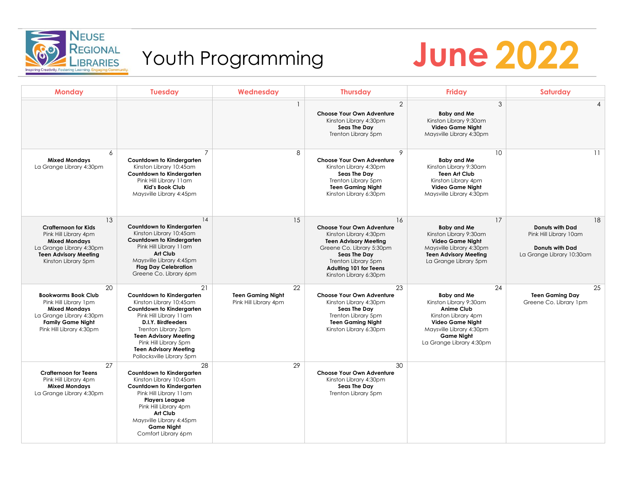

## Youth Programming

# **REGIONAL YOUth Programming June 2022**

| <b>Monday</b>                                                                                                                                                         | <b>Tuesday</b>                                                                                                                                                                                                                                                                       | Wednesday                                               | <b>Thursday</b>                                                                                                                                                                                                                 | <b>Friday</b>                                                                                                                                                                                   | Saturday                                                                                                      |
|-----------------------------------------------------------------------------------------------------------------------------------------------------------------------|--------------------------------------------------------------------------------------------------------------------------------------------------------------------------------------------------------------------------------------------------------------------------------------|---------------------------------------------------------|---------------------------------------------------------------------------------------------------------------------------------------------------------------------------------------------------------------------------------|-------------------------------------------------------------------------------------------------------------------------------------------------------------------------------------------------|---------------------------------------------------------------------------------------------------------------|
|                                                                                                                                                                       |                                                                                                                                                                                                                                                                                      |                                                         | $\overline{2}$<br>Choose Your Own Adventure<br>Kinston Library 4:30pm<br>Seas The Day<br>Trenton Library 5pm                                                                                                                    | 3<br><b>Baby and Me</b><br>Kinston Library 9:30am<br><b>Video Game Night</b><br>Maysville Library 4:30pm                                                                                        | $\overline{A}$                                                                                                |
| 6<br><b>Mixed Mondays</b><br>La Grange Library 4:30pm                                                                                                                 | $\overline{7}$<br><b>Countdown to Kindergarten</b><br>Kinston Library 10:45am<br>Countdown to Kindergarten<br>Pink Hill Library 11am<br><b>Kid's Book Club</b><br>Maysville Library 4:45pm                                                                                           | 8                                                       | 9<br>Choose Your Own Adventure<br>Kinston Library 4:30pm<br>Seas The Day<br>Trenton Library 5pm<br><b>Teen Gaming Night</b><br>Kinston Library 6:30pm                                                                           | 10<br><b>Baby and Me</b><br>Kinston Library 9:30am<br><b>Teen Art Club</b><br>Kinston Library 4pm<br><b>Video Game Night</b><br>Maysville Library 4:30pm                                        | 11                                                                                                            |
| 13<br><b>Crafternoon for Kids</b><br>Pink Hill Library 4pm<br><b>Mixed Mondays</b><br>La Grange Library 4:30pm<br><b>Teen Advisory Meeting</b><br>Kinston Library 5pm | 14<br><b>Countdown to Kindergarten</b><br>Kinston Library 10:45am<br>Countdown to Kindergarten<br>Pink Hill Library 11am<br>Art Club<br>Maysville Library 4:45pm<br><b>Flag Day Celebration</b><br>Greene Co. Library 6pm                                                            | 15                                                      | 16<br>Choose Your Own Adventure<br>Kinston Library 4:30pm<br><b>Teen Advisory Meeting</b><br>Greene Co. Library 5:30pm<br><b>Seas The Day</b><br>Trenton Library 5pm<br><b>Adulting 101 for Teens</b><br>Kinston Library 6:30pm | 17<br><b>Baby and Me</b><br>Kinston Library 9:30am<br><b>Video Game Night</b><br>Maysville Library 4:30pm<br><b>Teen Advisory Meeting</b><br>La Grange Library 5pm                              | 18<br><b>Donuts with Dad</b><br>Pink Hill Library 10am<br><b>Donuts with Dad</b><br>La Grange Library 10:30am |
| 20<br><b>Bookworms Book Club</b><br>Pink Hill Library 1pm<br><b>Mixed Mondays</b><br>La Grange Library 4:30pm<br><b>Family Game Night</b><br>Pink Hill Library 4:30pm | 21<br>Countdown to Kindergarten<br>Kinston Library 10:45am<br>Countdown to Kindergarten<br>Pink Hill Library 11am<br>D.I.Y. Birdfeeders<br>Trenton Library 3pm<br><b>Teen Advisory Meeting</b><br>Pink Hill Library 5pm<br><b>Teen Advisory Meeting</b><br>Pollocksville Library 5pm | 22<br><b>Teen Gaming Night</b><br>Pink Hill Library 4pm | 23<br><b>Choose Your Own Adventure</b><br>Kinston Library 4:30pm<br>Seas The Day<br>Trenton Library 5pm<br><b>Teen Gaming Night</b><br>Kinston Library 6:30pm                                                                   | 24<br><b>Baby and Me</b><br>Kinston Library 9:30am<br><b>Anime Club</b><br>Kinston Library 4pm<br>Video Game Night<br>Maysville Library 4:30pm<br><b>Game Night</b><br>La Grange Library 4:30pm | 25<br><b>Teen Gaming Day</b><br>Greene Co. Library 1pm                                                        |
| 27<br><b>Crafternoon for Teens</b><br>Pink Hill Library 4pm<br><b>Mixed Mondays</b><br>La Grange Library 4:30pm                                                       | 28<br>Countdown to Kindergarten<br>Kinston Library 10:45am<br>Countdown to Kindergarten<br>Pink Hill Library 11am<br><b>Players League</b><br>Pink Hill Library 4pm<br>Art Club<br>Maysville Library 4:45pm<br><b>Game Night</b><br>Comfort Library 6pm                              | 29                                                      | 30<br>Choose Your Own Adventure<br>Kinston Library 4:30pm<br>Seas The Day<br>Trenton Library 5pm                                                                                                                                |                                                                                                                                                                                                 |                                                                                                               |